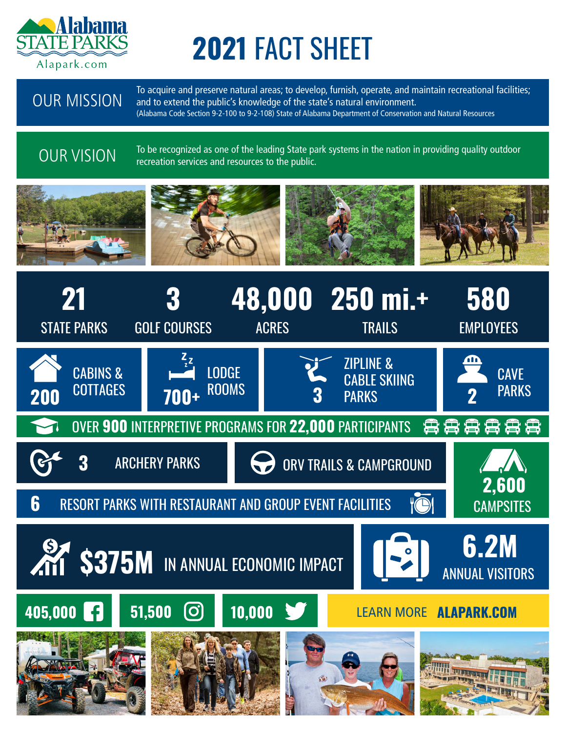

# **2021** FACT SHEET

OUR MISSION

To acquire and preserve natural areas; to develop, furnish, operate, and maintain recreational facilities; and to extend the public's knowledge of the state's natural environment. (Alabama Code Section 9-2-100 to 9-2-108) State of Alabama Department of Conservation and Natural Resources

# OUR VISION

To be recognized as one of the leading State park systems in the nation in providing quality outdoor recreation services and resources to the public.